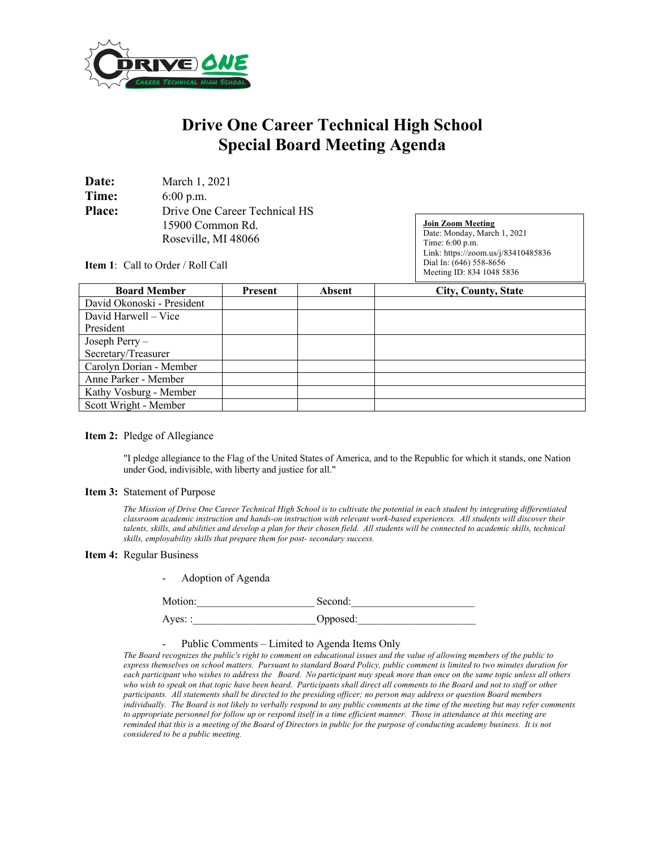

## **Drive One Career Technical High School Special Board Meeting Agenda**

| Date:         | March 1, 2021                 |  |  |
|---------------|-------------------------------|--|--|
| Time:         | $6:00$ p.m.                   |  |  |
| <b>Place:</b> | Drive One Career Technical HS |  |  |
|               | 15900 Common Rd.              |  |  |
|               | Roseville, MI 48066           |  |  |

**Join Zoom Meeting** Date: Monday, March 1, 2021 Time: 6:00 p.m. Link: https://zoom.us/j/83410485836 Dial In: (646) 558-8656 Meeting ID: 834 1048 5836

**Item 1**: Call to Order / Roll Call

| <b>Board Member</b>        | Present | <b>Absent</b> | <b>City, County, State</b> |
|----------------------------|---------|---------------|----------------------------|
| David Okonoski - President |         |               |                            |
| David Harwell – Vice       |         |               |                            |
| President                  |         |               |                            |
| Joseph Perry -             |         |               |                            |
| Secretary/Treasurer        |         |               |                            |
| Carolyn Dorian - Member    |         |               |                            |
| Anne Parker - Member       |         |               |                            |
| Kathy Vosburg - Member     |         |               |                            |
| Scott Wright - Member      |         |               |                            |

## **Item 2:** Pledge of Allegiance

"I pledge allegiance to the Flag of the United States of America, and to the Republic for which it stands, one Nation under God, indivisible, with liberty and justice for all."

## **Item 3:** Statement of Purpose

*The Mission of Drive One Career Technical High School is to cultivate the potential in each student by integrating differentiated classroom academic instruction and hands-on instruction with relevant work-based experiences. All students will discover their talents, skills, and abilities and develop a plan for their chosen field. All students will be connected to academic skills, technical skills, employability skills that prepare them for post- secondary success.*

## **Item 4:** Regular Business

| Adoption of Agenda<br>$\sim$ |          |  |
|------------------------------|----------|--|
| Motion:                      | Second:  |  |
| $Ayes:$ :                    | Opposed: |  |

- Public Comments – Limited to Agenda Items Only

*The Board recognizes the public's right to comment on educational issues and the value of allowing members of the public to express themselves on school matters. Pursuant to standard Board Policy, public comment is limited to two minutes duration for each participant who wishes to address the Board. No participant may speak more than once on the same topic unless all others who wish to speak on that topic have been heard. Participants shall direct all comments to the Board and not to staff or other participants. All statements shall be directed to the presiding officer; no person may address or question Board members individually. The Board is not likely to verbally respond to any public comments at the time of the meeting but may refer comments to appropriate personnel for follow up or respond itself in a time efficient manner. Those in attendance at this meeting are reminded that this is a meeting of the Board of Directors in public for the purpose of conducting academy business. It is not considered to be a public meeting.*